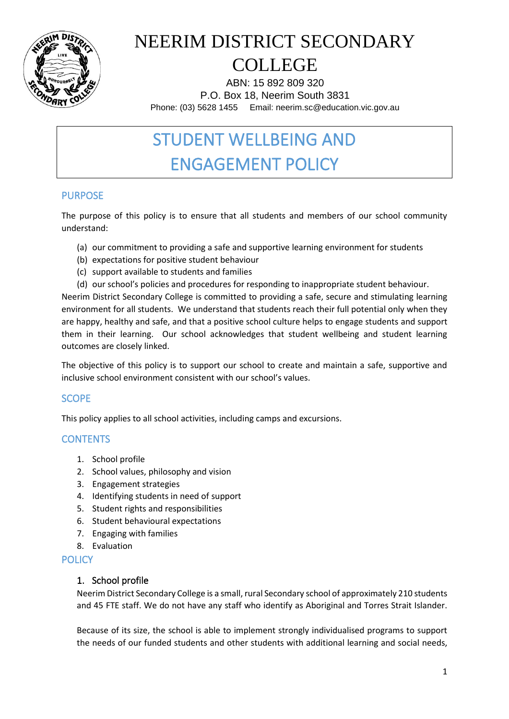

ABN: 15 892 809 320 P.O. Box 18, Neerim South 3831 Phone: (03) 5628 1455 Email: neerim.sc@education.vic.gov.au

### STUDENT WELLBEING AND ENGAGEMENT POLICY

### PURPOSE

The purpose of this policy is to ensure that all students and members of our school community understand:

- (a) our commitment to providing a safe and supportive learning environment for students
- (b) expectations for positive student behaviour
- (c) support available to students and families
- (d) our school's policies and procedures for responding to inappropriate student behaviour.

Neerim District Secondary College is committed to providing a safe, secure and stimulating learning environment for all students. We understand that students reach their full potential only when they are happy, healthy and safe, and that a positive school culture helps to engage students and support them in their learning. Our school acknowledges that student wellbeing and student learning outcomes are closely linked.

The objective of this policy is to support our school to create and maintain a safe, supportive and inclusive school environment consistent with our school's values.

### **SCOPE**

This policy applies to all school activities, including camps and excursions.

#### **CONTENTS**

- 1. School profile
- 2. School values, philosophy and vision
- 3. Engagement strategies
- 4. Identifying students in need of support
- 5. Student rights and responsibilities
- 6. Student behavioural expectations
- 7. Engaging with families
- 8. Evaluation

#### **POLICY**

#### 1. School profile

Neerim District Secondary College is a small, rural Secondary school of approximately 210 students and 45 FTE staff. We do not have any staff who identify as Aboriginal and Torres Strait Islander.

Because of its size, the school is able to implement strongly individualised programs to support the needs of our funded students and other students with additional learning and social needs,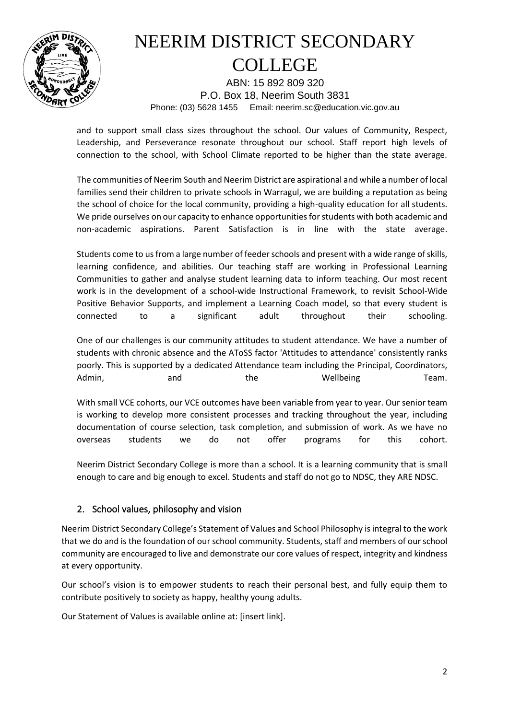

ABN: 15 892 809 320 P.O. Box 18, Neerim South 3831 Phone: (03) 5628 1455 Email: neerim.sc@education.vic.gov.au

and to support small class sizes throughout the school. Our values of Community, Respect, Leadership, and Perseverance resonate throughout our school. Staff report high levels of connection to the school, with School Climate reported to be higher than the state average.

The communities of Neerim South and Neerim District are aspirational and while a number of local families send their children to private schools in Warragul, we are building a reputation as being the school of choice for the local community, providing a high-quality education for all students. We pride ourselves on our capacity to enhance opportunities for students with both academic and non-academic aspirations. Parent Satisfaction is in line with the state average.

Students come to us from a large number of feeder schools and present with a wide range of skills, learning confidence, and abilities. Our teaching staff are working in Professional Learning Communities to gather and analyse student learning data to inform teaching. Our most recent work is in the development of a school-wide Instructional Framework, to revisit School-Wide Positive Behavior Supports, and implement a Learning Coach model, so that every student is connected to a significant adult throughout their schooling.

One of our challenges is our community attitudes to student attendance. We have a number of students with chronic absence and the AToSS factor 'Attitudes to attendance' consistently ranks poorly. This is supported by a dedicated Attendance team including the Principal, Coordinators, Admin, and and the Wellbeing Team.

With small VCE cohorts, our VCE outcomes have been variable from year to year. Our senior team is working to develop more consistent processes and tracking throughout the year, including documentation of course selection, task completion, and submission of work. As we have no overseas students we do not offer programs for this cohort.

Neerim District Secondary College is more than a school. It is a learning community that is small enough to care and big enough to excel. Students and staff do not go to NDSC, they ARE NDSC.

### 2. School values, philosophy and vision

Neerim District Secondary College's Statement of Values and School Philosophy is integral to the work that we do and is the foundation of our school community. Students, staff and members of our school community are encouraged to live and demonstrate our core values of respect, integrity and kindness at every opportunity.

Our school's vision is to empower students to reach their personal best, and fully equip them to contribute positively to society as happy, healthy young adults.

Our Statement of Values is available online at: [insert link].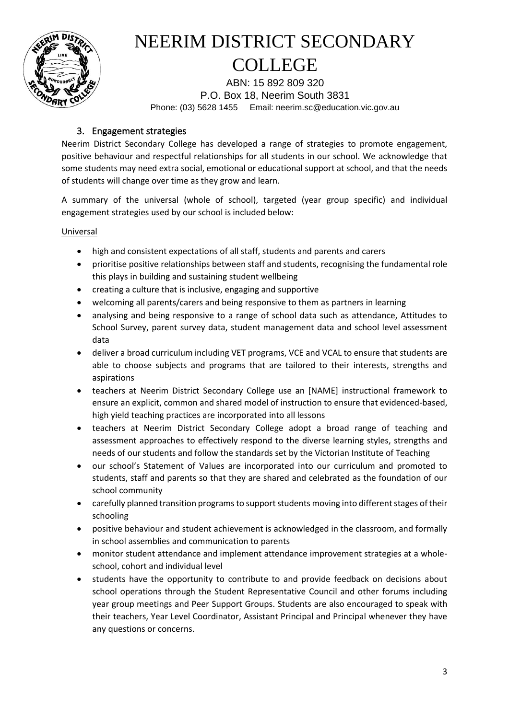

ABN: 15 892 809 320 P.O. Box 18, Neerim South 3831 Phone: (03) 5628 1455 Email: neerim.sc@education.vic.gov.au

#### 3. Engagement strategies

Neerim District Secondary College has developed a range of strategies to promote engagement, positive behaviour and respectful relationships for all students in our school. We acknowledge that some students may need extra social, emotional or educational support at school, and that the needs of students will change over time as they grow and learn.

A summary of the universal (whole of school), targeted (year group specific) and individual engagement strategies used by our school is included below:

#### Universal

- high and consistent expectations of all staff, students and parents and carers
- prioritise positive relationships between staff and students, recognising the fundamental role this plays in building and sustaining student wellbeing
- creating a culture that is inclusive, engaging and supportive
- welcoming all parents/carers and being responsive to them as partners in learning
- analysing and being responsive to a range of school data such as attendance, Attitudes to School Survey, parent survey data, student management data and school level assessment data
- deliver a broad curriculum including VET programs, VCE and VCAL to ensure that students are able to choose subjects and programs that are tailored to their interests, strengths and aspirations
- teachers at Neerim District Secondary College use an [NAME] instructional framework to ensure an explicit, common and shared model of instruction to ensure that evidenced-based, high yield teaching practices are incorporated into all lessons
- teachers at Neerim District Secondary College adopt a broad range of teaching and assessment approaches to effectively respond to the diverse learning styles, strengths and needs of our students and follow the standards set by the Victorian Institute of Teaching
- our school's Statement of Values are incorporated into our curriculum and promoted to students, staff and parents so that they are shared and celebrated as the foundation of our school community
- carefully planned transition programs to support students moving into different stages of their schooling
- positive behaviour and student achievement is acknowledged in the classroom, and formally in school assemblies and communication to parents
- monitor student attendance and implement attendance improvement strategies at a wholeschool, cohort and individual level
- students have the opportunity to contribute to and provide feedback on decisions about school operations through the Student Representative Council and other forums including year group meetings and Peer Support Groups. Students are also encouraged to speak with their teachers, Year Level Coordinator, Assistant Principal and Principal whenever they have any questions or concerns.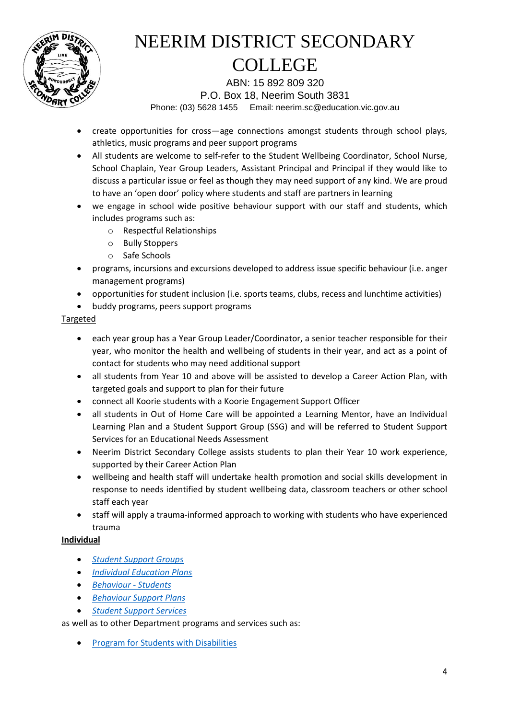

ABN: 15 892 809 320 P.O. Box 18, Neerim South 3831 Phone: (03) 5628 1455 Email: neerim.sc@education.vic.gov.au

- create opportunities for cross—age connections amongst students through school plays, athletics, music programs and peer support programs
- All students are welcome to self-refer to the Student Wellbeing Coordinator, School Nurse, School Chaplain, Year Group Leaders, Assistant Principal and Principal if they would like to discuss a particular issue or feel as though they may need support of any kind. We are proud to have an 'open door' policy where students and staff are partners in learning
- we engage in school wide positive behaviour support with our staff and students, which includes programs such as:
	- o Respectful Relationships
	- o Bully Stoppers
	- o Safe Schools
- programs, incursions and excursions developed to address issue specific behaviour (i.e. anger management programs)
- opportunities for student inclusion (i.e. sports teams, clubs, recess and lunchtime activities)
- buddy programs, peers support programs

#### Targeted

- each year group has a Year Group Leader/Coordinator, a senior teacher responsible for their year, who monitor the health and wellbeing of students in their year, and act as a point of contact for students who may need additional support
- all students from Year 10 and above will be assisted to develop a Career Action Plan, with targeted goals and support to plan for their future
- connect all Koorie students with a Koorie Engagement Support Officer
- all students in Out of Home Care will be appointed a Learning Mentor, have an Individual Learning Plan and a Student Support Group (SSG) and will be referred to Student Support Services for an Educational Needs Assessment
- Neerim District Secondary College assists students to plan their Year 10 work experience, supported by their Career Action Plan
- wellbeing and health staff will undertake health promotion and social skills development in response to needs identified by student wellbeing data, classroom teachers or other school staff each year
- staff will apply a trauma-informed approach to working with students who have experienced trauma

#### **Individual**

- *[Student Support Groups](https://www2.education.vic.gov.au/pal/student-support-groups/policy)*
- *[Individual Education Plans](https://www2.education.vic.gov.au/pal/individual-education-plans-ieps/policy)*
- *[Behaviour -](https://www2.education.vic.gov.au/pal/behaviour-students/policy) Students*
- *[Behaviour Support Plans](https://www2.education.vic.gov.au/pal/behaviour-students/guidance/6-behaviour-support-plans)*
- *[Student Support Services](https://www2.education.vic.gov.au/pal/student-support-services/policy)*

as well as to other Department programs and services such as:

• [Program for Students with Disabilities](https://www.education.vic.gov.au/school/teachers/learningneeds/Pages/psd.aspx)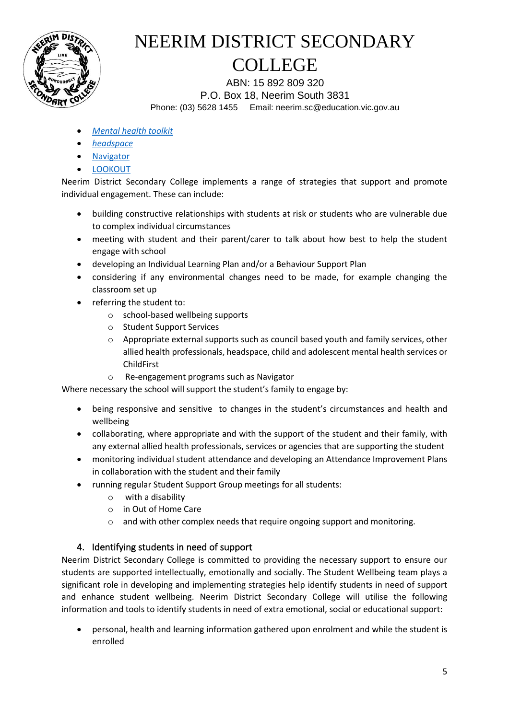

ABN: 15 892 809 320 P.O. Box 18, Neerim South 3831 Phone: (03) 5628 1455 Email: neerim.sc@education.vic.gov.au

- *[Mental health toolkit](https://www.education.vic.gov.au/school/teachers/health/mentalhealth/Pages/mentalhealthtoolkit.aspx)*
- *[headspace](https://www.education.vic.gov.au/school/teachers/health/mentalhealth/Pages/headspace-counselling-secondary.aspx)*
- [Navigator](https://www.education.vic.gov.au/school/teachers/behaviour/engagement/Pages/navigator.aspx)
- [LOOKOUT](https://www.education.vic.gov.au/about/programs/Pages/lookout.aspx)

Neerim District Secondary College implements a range of strategies that support and promote individual engagement. These can include:

- building constructive relationships with students at risk or students who are vulnerable due to complex individual circumstances
- meeting with student and their parent/carer to talk about how best to help the student engage with school
- developing an Individual Learning Plan and/or a Behaviour Support Plan
- considering if any environmental changes need to be made, for example changing the classroom set up
- referring the student to:
	- o school-based wellbeing supports
	- o Student Support Services
	- o Appropriate external supports such as council based youth and family services, other allied health professionals, headspace, child and adolescent mental health services or ChildFirst
	- o Re-engagement programs such as Navigator

Where necessary the school will support the student's family to engage by:

- being responsive and sensitive to changes in the student's circumstances and health and wellbeing
- collaborating, where appropriate and with the support of the student and their family, with any external allied health professionals, services or agencies that are supporting the student
- monitoring individual student attendance and developing an Attendance Improvement Plans in collaboration with the student and their family
- running regular Student Support Group meetings for all students:
	- o with a disability
	- o in Out of Home Care
	- o and with other complex needs that require ongoing support and monitoring.

#### 4. Identifying students in need of support

Neerim District Secondary College is committed to providing the necessary support to ensure our students are supported intellectually, emotionally and socially. The Student Wellbeing team plays a significant role in developing and implementing strategies help identify students in need of support and enhance student wellbeing. Neerim District Secondary College will utilise the following information and tools to identify students in need of extra emotional, social or educational support:

• personal, health and learning information gathered upon enrolment and while the student is enrolled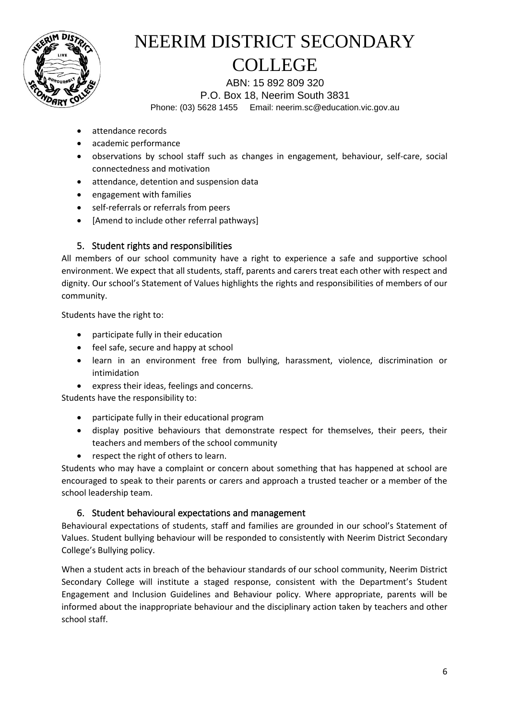

ABN: 15 892 809 320 P.O. Box 18, Neerim South 3831 Phone: (03) 5628 1455 Email: neerim.sc@education.vic.gov.au

- attendance records
- academic performance
- observations by school staff such as changes in engagement, behaviour, self-care, social connectedness and motivation
- attendance, detention and suspension data
- engagement with families
- self-referrals or referrals from peers
- [Amend to include other referral pathways]

#### 5. Student rights and responsibilities

All members of our school community have a right to experience a safe and supportive school environment. We expect that all students, staff, parents and carers treat each other with respect and dignity. Our school's Statement of Values highlights the rights and responsibilities of members of our community.

Students have the right to:

- participate fully in their education
- feel safe, secure and happy at school
- learn in an environment free from bullying, harassment, violence, discrimination or intimidation
- express their ideas, feelings and concerns.

Students have the responsibility to:

- participate fully in their educational program
- display positive behaviours that demonstrate respect for themselves, their peers, their teachers and members of the school community
- respect the right of others to learn.

Students who may have a complaint or concern about something that has happened at school are encouraged to speak to their parents or carers and approach a trusted teacher or a member of the school leadership team.

#### 6. Student behavioural expectations and management

Behavioural expectations of students, staff and families are grounded in our school's Statement of Values. Student bullying behaviour will be responded to consistently with Neerim District Secondary College's Bullying policy.

When a student acts in breach of the behaviour standards of our school community, Neerim District Secondary College will institute a staged response, consistent with the Department's Student Engagement and Inclusion Guidelines and Behaviour policy. Where appropriate, parents will be informed about the inappropriate behaviour and the disciplinary action taken by teachers and other school staff.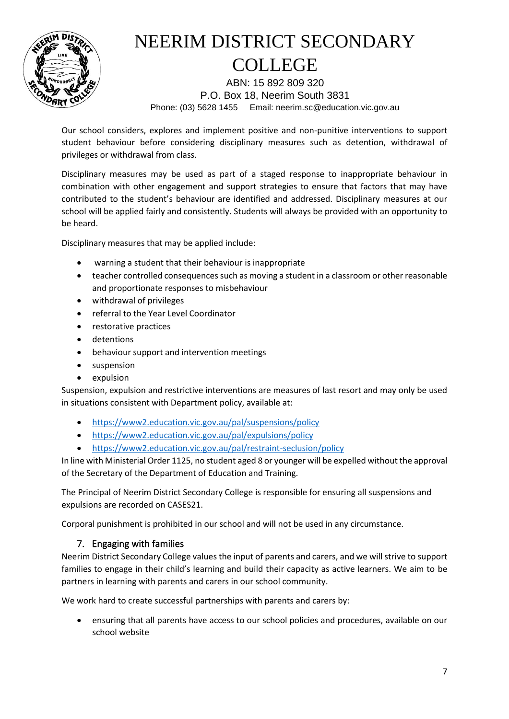

ABN: 15 892 809 320 P.O. Box 18, Neerim South 3831 Phone: (03) 5628 1455 Email: neerim.sc@education.vic.gov.au

Our school considers, explores and implement positive and non-punitive interventions to support student behaviour before considering disciplinary measures such as detention, withdrawal of privileges or withdrawal from class.

Disciplinary measures may be used as part of a staged response to inappropriate behaviour in combination with other engagement and support strategies to ensure that factors that may have contributed to the student's behaviour are identified and addressed. Disciplinary measures at our school will be applied fairly and consistently. Students will always be provided with an opportunity to be heard.

Disciplinary measures that may be applied include:

- warning a student that their behaviour is inappropriate
- teacher controlled consequences such as moving a student in a classroom or other reasonable and proportionate responses to misbehaviour
- withdrawal of privileges
- referral to the Year Level Coordinator
- restorative practices
- detentions
- behaviour support and intervention meetings
- suspension
- expulsion

Suspension, expulsion and restrictive interventions are measures of last resort and may only be used in situations consistent with Department policy, available at:

- <https://www2.education.vic.gov.au/pal/suspensions/policy>
- <https://www2.education.vic.gov.au/pal/expulsions/policy>
- <https://www2.education.vic.gov.au/pal/restraint-seclusion/policy>

In line with Ministerial Order 1125, no student aged 8 or younger will be expelled without the approval of the Secretary of the Department of Education and Training.

The Principal of Neerim District Secondary College is responsible for ensuring all suspensions and expulsions are recorded on CASES21.

Corporal punishment is prohibited in our school and will not be used in any circumstance.

#### 7. Engaging with families

Neerim District Secondary College values the input of parents and carers, and we will strive to support families to engage in their child's learning and build their capacity as active learners. We aim to be partners in learning with parents and carers in our school community.

We work hard to create successful partnerships with parents and carers by:

• ensuring that all parents have access to our school policies and procedures, available on our school website